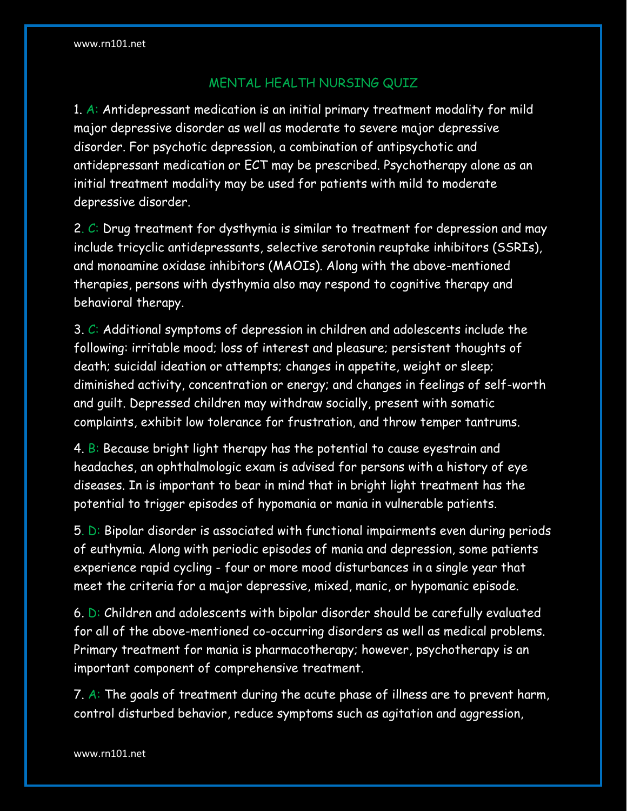## MENTAL HEALTH NURSING QUIZ

1. A: Antidepressant medication is an initial primary treatment modality for mild major depressive disorder as well as moderate to severe major depressive disorder. For psychotic depression, a combination of antipsychotic and antidepressant medication or ECT may be prescribed. Psychotherapy alone as an initial treatment modality may be used for patients with mild to moderate depressive disorder.

2. C: Drug treatment for dysthymia is similar to treatment for depression and may include tricyclic antidepressants, selective serotonin reuptake inhibitors (SSRIs), and monoamine oxidase inhibitors (MAOIs). Along with the above-mentioned therapies, persons with dysthymia also may respond to cognitive therapy and behavioral therapy.

3. C: Additional symptoms of depression in children and adolescents include the following: irritable mood; loss of interest and pleasure; persistent thoughts of death; suicidal ideation or attempts; changes in appetite, weight or sleep; diminished activity, concentration or energy; and changes in feelings of self-worth and guilt. Depressed children may withdraw socially, present with somatic complaints, exhibit low tolerance for frustration, and throw temper tantrums.

4. B: Because bright light therapy has the potential to cause eyestrain and headaches, an ophthalmologic exam is advised for persons with a history of eye diseases. In is important to bear in mind that in bright light treatment has the potential to trigger episodes of hypomania or mania in vulnerable patients.

5. D: Bipolar disorder is associated with functional impairments even during periods of euthymia. Along with periodic episodes of mania and depression, some patients experience rapid cycling - four or more mood disturbances in a single year that meet the criteria for a major depressive, mixed, manic, or hypomanic episode.

6. D: Children and adolescents with bipolar disorder should be carefully evaluated for all of the above-mentioned co-occurring disorders as well as medical problems. Primary treatment for mania is pharmacotherapy; however, psychotherapy is an important component of comprehensive treatment.

7. A: The goals of treatment during the acute phase of illness are to prevent harm, control disturbed behavior, reduce symptoms such as agitation and aggression,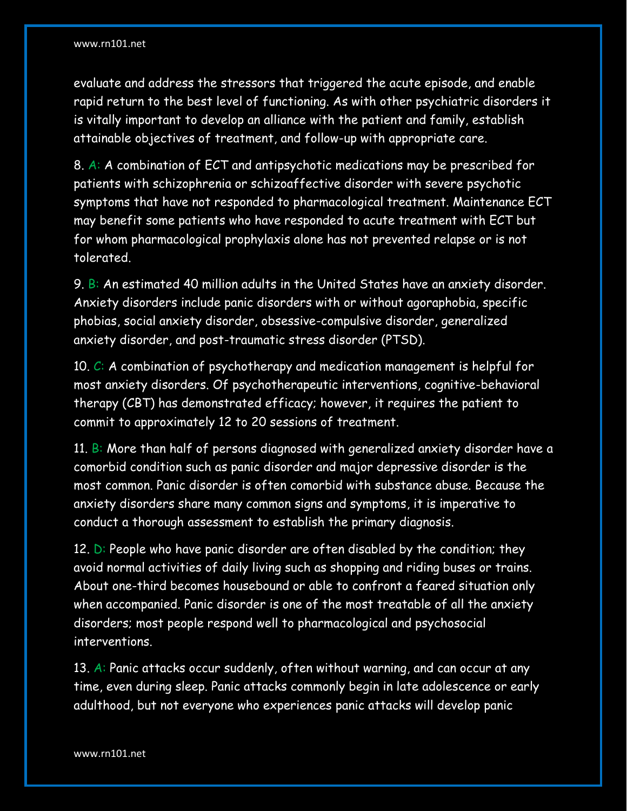evaluate and address the stressors that triggered the acute episode, and enable rapid return to the best level of functioning. As with other psychiatric disorders it is vitally important to develop an alliance with the patient and family, establish attainable objectives of treatment, and follow-up with appropriate care.

8. A: A combination of ECT and antipsychotic medications may be prescribed for patients with schizophrenia or schizoaffective disorder with severe psychotic symptoms that have not responded to pharmacological treatment. Maintenance ECT may benefit some patients who have responded to acute treatment with ECT but for whom pharmacological prophylaxis alone has not prevented relapse or is not tolerated.

9. B: An estimated 40 million adults in the United States have an anxiety disorder. Anxiety disorders include panic disorders with or without agoraphobia, specific phobias, social anxiety disorder, obsessive-compulsive disorder, generalized anxiety disorder, and post-traumatic stress disorder (PTSD).

10.  $C: A$  combination of psychotherapy and medication management is helpful for most anxiety disorders. Of psychotherapeutic interventions, cognitive-behavioral therapy (CBT) has demonstrated efficacy; however, it requires the patient to commit to approximately 12 to 20 sessions of treatment.

11. B: More than half of persons diagnosed with generalized anxiety disorder have a comorbid condition such as panic disorder and major depressive disorder is the most common. Panic disorder is often comorbid with substance abuse. Because the anxiety disorders share many common signs and symptoms, it is imperative to conduct a thorough assessment to establish the primary diagnosis.

12.  $D:$  People who have panic disorder are often disabled by the condition; they avoid normal activities of daily living such as shopping and riding buses or trains. About one-third becomes housebound or able to confront a feared situation only when accompanied. Panic disorder is one of the most treatable of all the anxiety disorders; most people respond well to pharmacological and psychosocial interventions.

13. A: Panic attacks occur suddenly, often without warning, and can occur at any time, even during sleep. Panic attacks commonly begin in late adolescence or early adulthood, but not everyone who experiences panic attacks will develop panic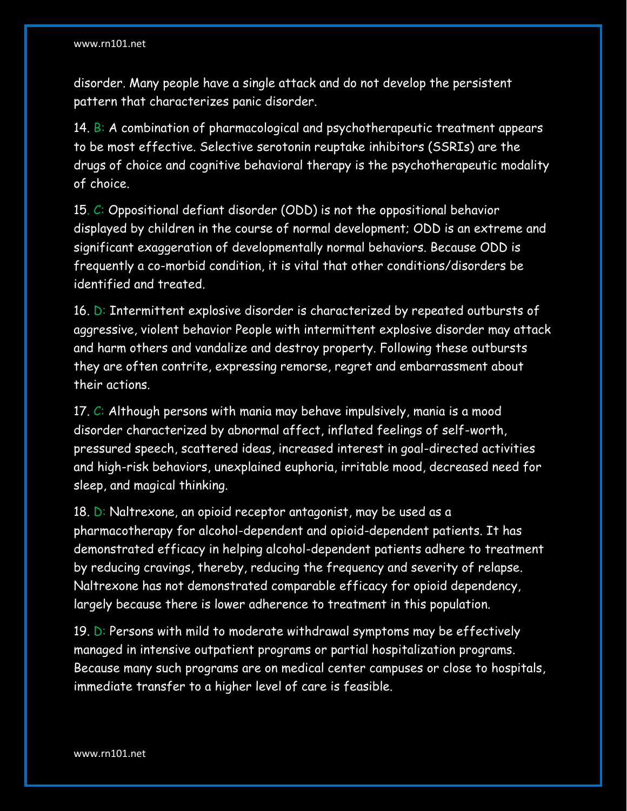disorder. Many people have a single attack and do not develop the persistent pattern that characterizes panic disorder.

14.  $B: A$  combination of pharmacological and psychotherapeutic treatment appears to be most effective. Selective serotonin reuptake inhibitors (SSRIs) are the drugs of choice and cognitive behavioral therapy is the psychotherapeutic modality of choice.

15. C: Oppositional defiant disorder (ODD) is not the oppositional behavior displayed by children in the course of normal development; ODD is an extreme and significant exaggeration of developmentally normal behaviors. Because ODD is frequently a co-morbid condition, it is vital that other conditions/disorders be identified and treated.

16. D: Intermittent explosive disorder is characterized by repeated outbursts of aggressive, violent behavior People with intermittent explosive disorder may attack and harm others and vandalize and destroy property. Following these outbursts they are often contrite, expressing remorse, regret and embarrassment about their actions.

17.  $C$ : Although persons with mania may behave impulsively, mania is a mood disorder characterized by abnormal affect, inflated feelings of self-worth, pressured speech, scattered ideas, increased interest in goal-directed activities and high-risk behaviors, unexplained euphoria, irritable mood, decreased need for sleep, and magical thinking.

18. D: Naltrexone, an opioid receptor antagonist, may be used as a pharmacotherapy for alcohol-dependent and opioid-dependent patients. It has demonstrated efficacy in helping alcohol-dependent patients adhere to treatment by reducing cravings, thereby, reducing the frequency and severity of relapse. Naltrexone has not demonstrated comparable efficacy for opioid dependency, largely because there is lower adherence to treatment in this population.

19.  $D:$  Persons with mild to moderate withdrawal symptoms may be effectively managed in intensive outpatient programs or partial hospitalization programs. Because many such programs are on medical center campuses or close to hospitals, immediate transfer to a higher level of care is feasible.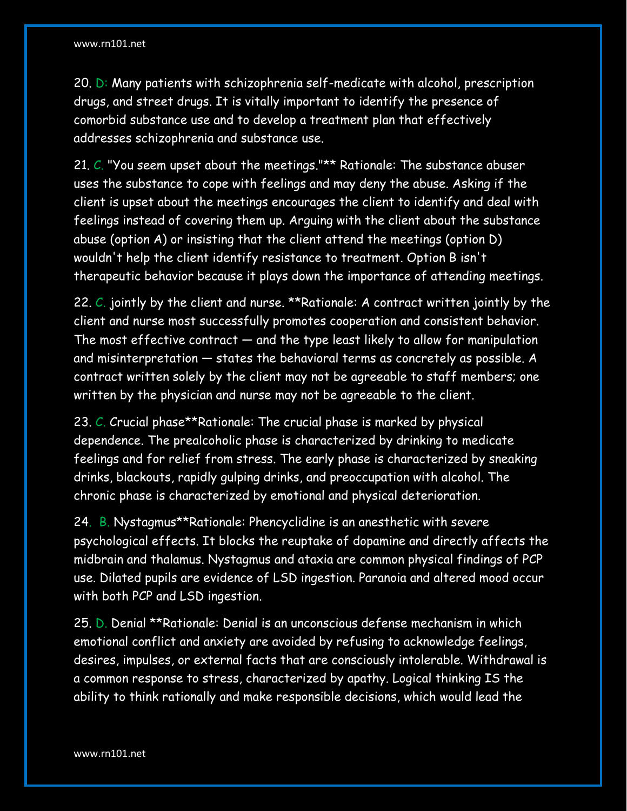20. D: Many patients with schizophrenia self-medicate with alcohol, prescription drugs, and street drugs. It is vitally important to identify the presence of comorbid substance use and to develop a treatment plan that effectively addresses schizophrenia and substance use.

21. C. "You seem upset about the meetings."\*\* Rationale: The substance abuser uses the substance to cope with feelings and may deny the abuse. Asking if the client is upset about the meetings encourages the client to identify and deal with feelings instead of covering them up. Arguing with the client about the substance abuse (option A) or insisting that the client attend the meetings (option D) wouldn't help the client identify resistance to treatment. Option B isn't therapeutic behavior because it plays down the importance of attending meetings.

22. C. jointly by the client and nurse. \*\*Rationale: A contract written jointly by the client and nurse most successfully promotes cooperation and consistent behavior. The most effective contract — and the type least likely to allow for manipulation and misinterpretation — states the behavioral terms as concretely as possible. A contract written solely by the client may not be agreeable to staff members; one written by the physician and nurse may not be agreeable to the client.

23. C. Crucial phase\*\*Rationale: The crucial phase is marked by physical dependence. The prealcoholic phase is characterized by drinking to medicate feelings and for relief from stress. The early phase is characterized by sneaking drinks, blackouts, rapidly gulping drinks, and preoccupation with alcohol. The chronic phase is characterized by emotional and physical deterioration.

24. B. Nystagmus\*\*Rationale: Phencyclidine is an anesthetic with severe psychological effects. It blocks the reuptake of dopamine and directly affects the midbrain and thalamus. Nystagmus and ataxia are common physical findings of PCP use. Dilated pupils are evidence of LSD ingestion. Paranoia and altered mood occur with both PCP and LSD ingestion.

25. D. Denial \*\*Rationale: Denial is an unconscious defense mechanism in which emotional conflict and anxiety are avoided by refusing to acknowledge feelings, desires, impulses, or external facts that are consciously intolerable. Withdrawal is a common response to stress, characterized by apathy. Logical thinking IS the ability to think rationally and make responsible decisions, which would lead the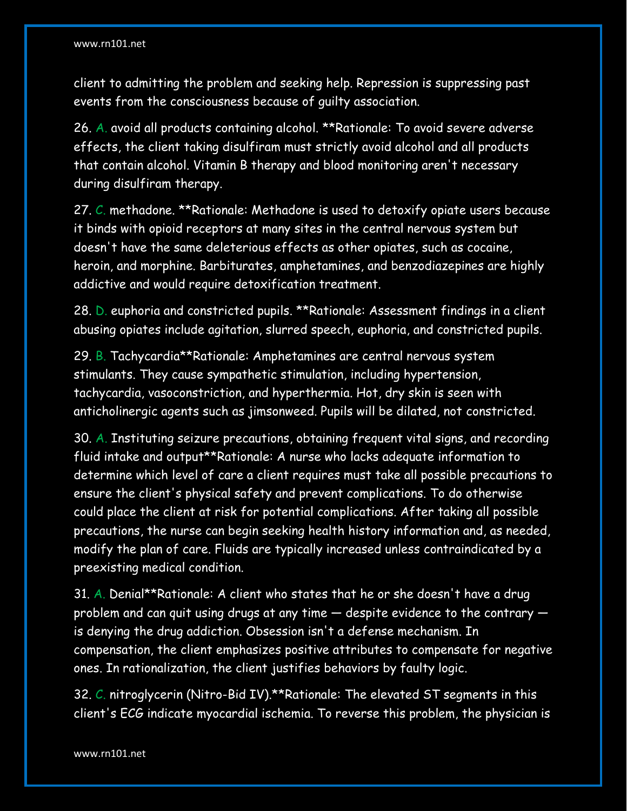client to admitting the problem and seeking help. Repression is suppressing past events from the consciousness because of guilty association.

26. A. avoid all products containing alcohol. \*\*Rationale: To avoid severe adverse effects, the client taking disulfiram must strictly avoid alcohol and all products that contain alcohol. Vitamin B therapy and blood monitoring aren't necessary during disulfiram therapy.

27. C. methadone. \*\*Rationale: Methadone is used to detoxify opiate users because it binds with opioid receptors at many sites in the central nervous system but doesn't have the same deleterious effects as other opiates, such as cocaine, heroin, and morphine. Barbiturates, amphetamines, and benzodiazepines are highly addictive and would require detoxification treatment.

28. D. euphoria and constricted pupils. \*\*Rationale: Assessment findings in a client abusing opiates include agitation, slurred speech, euphoria, and constricted pupils.

29. B. Tachycardia\*\*Rationale: Amphetamines are central nervous system stimulants. They cause sympathetic stimulation, including hypertension, tachycardia, vasoconstriction, and hyperthermia. Hot, dry skin is seen with anticholinergic agents such as jimsonweed. Pupils will be dilated, not constricted.

30. A. Instituting seizure precautions, obtaining frequent vital signs, and recording fluid intake and output\*\*Rationale: A nurse who lacks adequate information to determine which level of care a client requires must take all possible precautions to ensure the client's physical safety and prevent complications. To do otherwise could place the client at risk for potential complications. After taking all possible precautions, the nurse can begin seeking health history information and, as needed, modify the plan of care. Fluids are typically increased unless contraindicated by a preexisting medical condition.

31. A. Denial\*\*Rationale: A client who states that he or she doesn't have a drug problem and can quit using drugs at any time — despite evidence to the contrary is denying the drug addiction. Obsession isn't a defense mechanism. In compensation, the client emphasizes positive attributes to compensate for negative ones. In rationalization, the client justifies behaviors by faulty logic.

32. C. nitroglycerin (Nitro-Bid IV).\*\*Rationale: The elevated ST segments in this client's ECG indicate myocardial ischemia. To reverse this problem, the physician is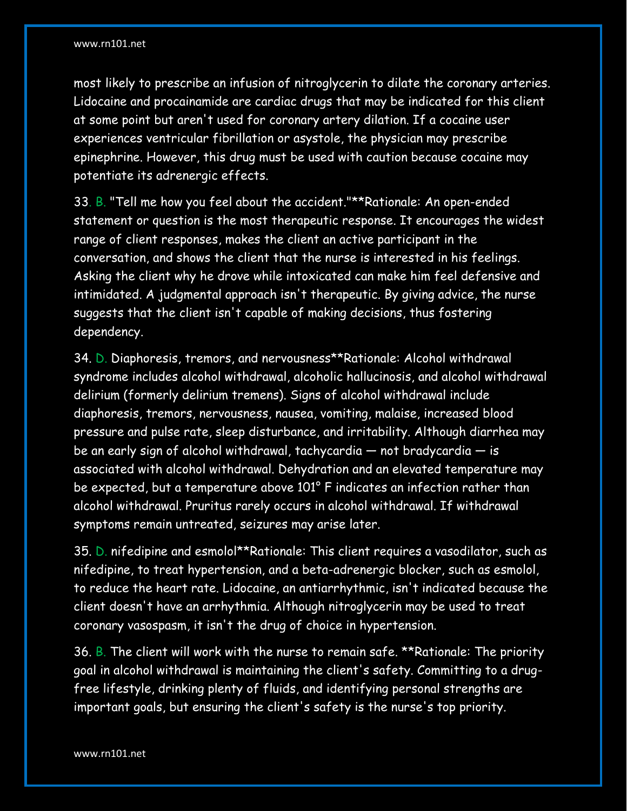most likely to prescribe an infusion of nitroglycerin to dilate the coronary arteries. Lidocaine and procainamide are cardiac drugs that may be indicated for this client at some point but aren't used for coronary artery dilation. If a cocaine user experiences ventricular fibrillation or asystole, the physician may prescribe epinephrine. However, this drug must be used with caution because cocaine may potentiate its adrenergic effects.

33. B. "Tell me how you feel about the accident."\*\*Rationale: An open-ended statement or question is the most therapeutic response. It encourages the widest range of client responses, makes the client an active participant in the conversation, and shows the client that the nurse is interested in his feelings. Asking the client why he drove while intoxicated can make him feel defensive and intimidated. A judgmental approach isn't therapeutic. By giving advice, the nurse suggests that the client isn't capable of making decisions, thus fostering dependency.

34. D. Diaphoresis, tremors, and nervousness\*\*Rationale: Alcohol withdrawal syndrome includes alcohol withdrawal, alcoholic hallucinosis, and alcohol withdrawal delirium (formerly delirium tremens). Signs of alcohol withdrawal include diaphoresis, tremors, nervousness, nausea, vomiting, malaise, increased blood pressure and pulse rate, sleep disturbance, and irritability. Although diarrhea may be an early sign of alcohol withdrawal, tachycardia — not bradycardia — is associated with alcohol withdrawal. Dehydration and an elevated temperature may be expected, but a temperature above 101° F indicates an infection rather than alcohol withdrawal. Pruritus rarely occurs in alcohol withdrawal. If withdrawal symptoms remain untreated, seizures may arise later.

35. D. nifedipine and esmolol\*\*Rationale: This client requires a vasodilator, such as nifedipine, to treat hypertension, and a beta-adrenergic blocker, such as esmolol, to reduce the heart rate. Lidocaine, an antiarrhythmic, isn't indicated because the client doesn't have an arrhythmia. Although nitroglycerin may be used to treat coronary vasospasm, it isn't the drug of choice in hypertension.

36. B. The client will work with the nurse to remain safe. \*\*Rationale: The priority goal in alcohol withdrawal is maintaining the client's safety. Committing to a drugfree lifestyle, drinking plenty of fluids, and identifying personal strengths are important goals, but ensuring the client's safety is the nurse's top priority.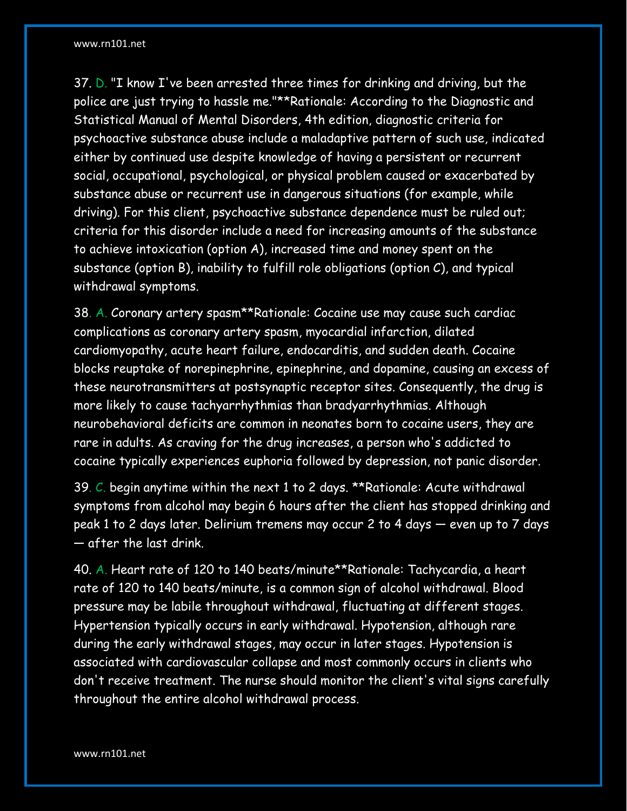37. D. "I know I've been arrested three times for drinking and driving, but the police are just trying to hassle me."\*\*Rationale: According to the Diagnostic and Statistical Manual of Mental Disorders, 4th edition, diagnostic criteria for psychoactive substance abuse include a maladaptive pattern of such use, indicated either by continued use despite knowledge of having a persistent or recurrent social, occupational, psychological, or physical problem caused or exacerbated by substance abuse or recurrent use in dangerous situations (for example, while driving). For this client, psychoactive substance dependence must be ruled out; criteria for this disorder include a need for increasing amounts of the substance to achieve intoxication (option A), increased time and money spent on the substance (option B), inability to fulfill role obligations (option C), and typical withdrawal symptoms.

38. A. Coronary artery spasm\*\*Rationale: Cocaine use may cause such cardiac complications as coronary artery spasm, myocardial infarction, dilated cardiomyopathy, acute heart failure, endocarditis, and sudden death. Cocaine blocks reuptake of norepinephrine, epinephrine, and dopamine, causing an excess of these neurotransmitters at postsynaptic receptor sites. Consequently, the drug is more likely to cause tachyarrhythmias than bradyarrhythmias. Although neurobehavioral deficits are common in neonates born to cocaine users, they are rare in adults. As craving for the drug increases, a person who's addicted to cocaine typically experiences euphoria followed by depression, not panic disorder.

39. C. begin anytime within the next 1 to 2 days. \*\*Rationale: Acute withdrawal symptoms from alcohol may begin 6 hours after the client has stopped drinking and peak 1 to 2 days later. Delirium tremens may occur 2 to 4 days — even up to 7 days — after the last drink.

40. A. Heart rate of 120 to 140 beats/minute\*\*Rationale: Tachycardia, a heart rate of 120 to 140 beats/minute, is a common sign of alcohol withdrawal. Blood pressure may be labile throughout withdrawal, fluctuating at different stages. Hypertension typically occurs in early withdrawal. Hypotension, although rare during the early withdrawal stages, may occur in later stages. Hypotension is associated with cardiovascular collapse and most commonly occurs in clients who don't receive treatment. The nurse should monitor the client's vital signs carefully throughout the entire alcohol withdrawal process.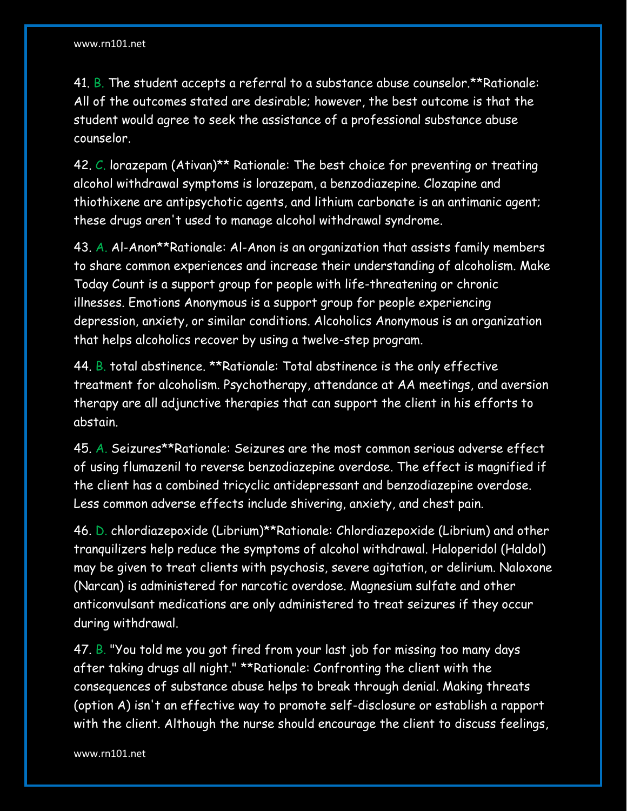41. B. The student accepts a referral to a substance abuse counselor.\*\*Rationale: All of the outcomes stated are desirable; however, the best outcome is that the student would agree to seek the assistance of a professional substance abuse counselor.

42. C. lorazepam (Ativan)\*\* Rationale: The best choice for preventing or treating alcohol withdrawal symptoms is lorazepam, a benzodiazepine. Clozapine and thiothixene are antipsychotic agents, and lithium carbonate is an antimanic agent; these drugs aren't used to manage alcohol withdrawal syndrome.

43. A. Al-Anon\*\*Rationale: Al-Anon is an organization that assists family members to share common experiences and increase their understanding of alcoholism. Make Today Count is a support group for people with life-threatening or chronic illnesses. Emotions Anonymous is a support group for people experiencing depression, anxiety, or similar conditions. Alcoholics Anonymous is an organization that helps alcoholics recover by using a twelve-step program.

44. B. total abstinence. \*\*Rationale: Total abstinence is the only effective treatment for alcoholism. Psychotherapy, attendance at AA meetings, and aversion therapy are all adjunctive therapies that can support the client in his efforts to abstain.

45. A. Seizures\*\*Rationale: Seizures are the most common serious adverse effect of using flumazenil to reverse benzodiazepine overdose. The effect is magnified if the client has a combined tricyclic antidepressant and benzodiazepine overdose. Less common adverse effects include shivering, anxiety, and chest pain.

46. D. chlordiazepoxide (Librium)\*\*Rationale: Chlordiazepoxide (Librium) and other tranquilizers help reduce the symptoms of alcohol withdrawal. Haloperidol (Haldol) may be given to treat clients with psychosis, severe agitation, or delirium. Naloxone (Narcan) is administered for narcotic overdose. Magnesium sulfate and other anticonvulsant medications are only administered to treat seizures if they occur during withdrawal.

47. B. "You told me you got fired from your last job for missing too many days after taking drugs all night." \*\*Rationale: Confronting the client with the consequences of substance abuse helps to break through denial. Making threats (option A) isn't an effective way to promote self-disclosure or establish a rapport with the client. Although the nurse should encourage the client to discuss feelings,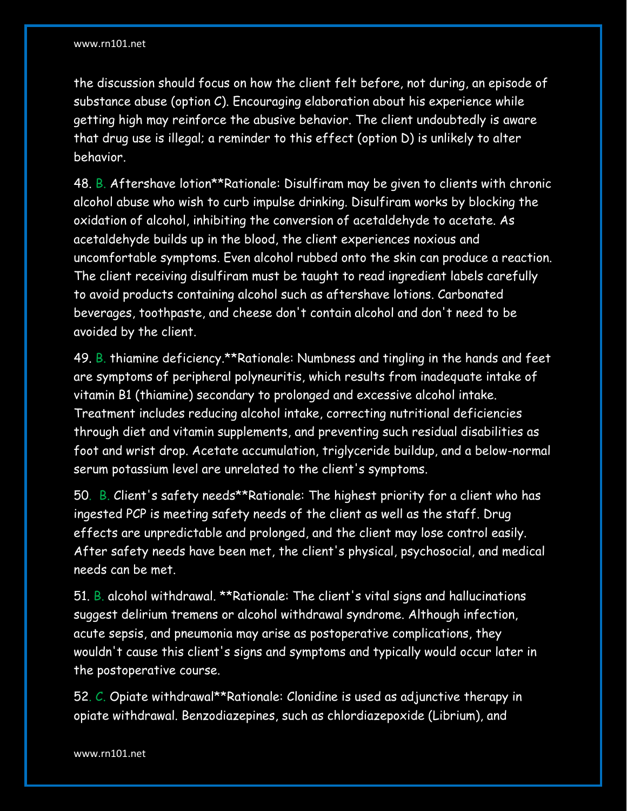the discussion should focus on how the client felt before, not during, an episode of substance abuse (option C). Encouraging elaboration about his experience while getting high may reinforce the abusive behavior. The client undoubtedly is aware that drug use is illegal; a reminder to this effect (option D) is unlikely to alter behavior.

48. B. Aftershave lotion\*\*Rationale: Disulfiram may be given to clients with chronic alcohol abuse who wish to curb impulse drinking. Disulfiram works by blocking the oxidation of alcohol, inhibiting the conversion of acetaldehyde to acetate. As acetaldehyde builds up in the blood, the client experiences noxious and uncomfortable symptoms. Even alcohol rubbed onto the skin can produce a reaction. The client receiving disulfiram must be taught to read ingredient labels carefully to avoid products containing alcohol such as aftershave lotions. Carbonated beverages, toothpaste, and cheese don't contain alcohol and don't need to be avoided by the client.

49. B. thiamine deficiency.\*\*Rationale: Numbness and tingling in the hands and feet are symptoms of peripheral polyneuritis, which results from inadequate intake of vitamin B1 (thiamine) secondary to prolonged and excessive alcohol intake. Treatment includes reducing alcohol intake, correcting nutritional deficiencies through diet and vitamin supplements, and preventing such residual disabilities as foot and wrist drop. Acetate accumulation, triglyceride buildup, and a below-normal serum potassium level are unrelated to the client's symptoms.

50. B. Client's safety needs\*\*Rationale: The highest priority for a client who has ingested PCP is meeting safety needs of the client as well as the staff. Drug effects are unpredictable and prolonged, and the client may lose control easily. After safety needs have been met, the client's physical, psychosocial, and medical needs can be met.

51. B. alcohol withdrawal. \*\*Rationale: The client's vital signs and hallucinations suggest delirium tremens or alcohol withdrawal syndrome. Although infection, acute sepsis, and pneumonia may arise as postoperative complications, they wouldn't cause this client's signs and symptoms and typically would occur later in the postoperative course.

52. C. Opiate withdrawal\*\*Rationale: Clonidine is used as adjunctive therapy in opiate withdrawal. Benzodiazepines, such as chlordiazepoxide (Librium), and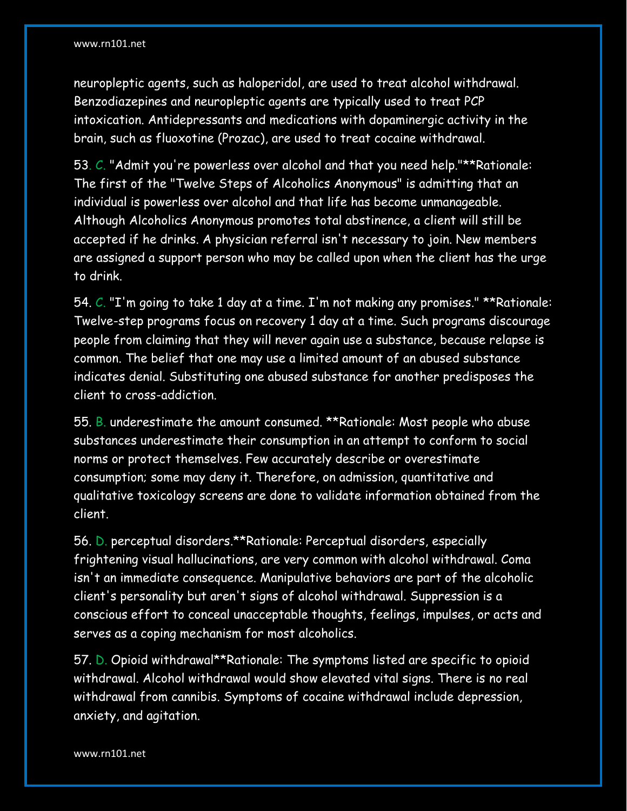neuropleptic agents, such as haloperidol, are used to treat alcohol withdrawal. Benzodiazepines and neuropleptic agents are typically used to treat PCP intoxication. Antidepressants and medications with dopaminergic activity in the brain, such as fluoxotine (Prozac), are used to treat cocaine withdrawal.

53. C. "Admit you're powerless over alcohol and that you need help."\*\*Rationale: The first of the "Twelve Steps of Alcoholics Anonymous" is admitting that an individual is powerless over alcohol and that life has become unmanageable. Although Alcoholics Anonymous promotes total abstinence, a client will still be accepted if he drinks. A physician referral isn't necessary to join. New members are assigned a support person who may be called upon when the client has the urge to drink.

54. C. "I'm going to take 1 day at a time. I'm not making any promises." \*\*Rationale: Twelve-step programs focus on recovery 1 day at a time. Such programs discourage people from claiming that they will never again use a substance, because relapse is common. The belief that one may use a limited amount of an abused substance indicates denial. Substituting one abused substance for another predisposes the client to cross-addiction.

55. B. underestimate the amount consumed. \*\*Rationale: Most people who abuse substances underestimate their consumption in an attempt to conform to social norms or protect themselves. Few accurately describe or overestimate consumption; some may deny it. Therefore, on admission, quantitative and qualitative toxicology screens are done to validate information obtained from the client.

56. D. perceptual disorders.\*\*Rationale: Perceptual disorders, especially frightening visual hallucinations, are very common with alcohol withdrawal. Coma isn't an immediate consequence. Manipulative behaviors are part of the alcoholic client's personality but aren't signs of alcohol withdrawal. Suppression is a conscious effort to conceal unacceptable thoughts, feelings, impulses, or acts and serves as a coping mechanism for most alcoholics.

57. D. Opioid withdrawal\*\*Rationale: The symptoms listed are specific to opioid withdrawal. Alcohol withdrawal would show elevated vital signs. There is no real withdrawal from cannibis. Symptoms of cocaine withdrawal include depression, anxiety, and agitation.